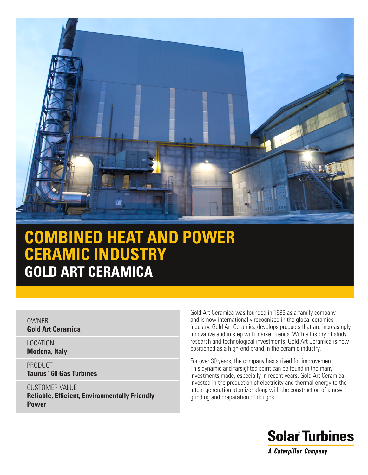

# **COMBINED HEAT AND POWER CERAMIC INDUSTRY GOLD ART CERAMICA**

#### **OWNER Gold Art Ceramica**

LOCATION **Modena, Italy**

PRODUCT **Taurus**™ **60 Gas Turbines**

CUSTOMER VALUE **Reliable, Efficient, Environmentally Friendly Power**

Gold Art Ceramica was founded in 1989 as a family company and is now internationally recognized in the global ceramics industry. Gold Art Ceramica develops products that are increasingly innovative and in step with market trends. With a history of study, research and technological investments, Gold Art Ceramica is now positioned as a high-end brand in the ceramic industry.

For over 30 years, the company has strived for improvement. This dynamic and farsighted spirit can be found in the many investments made, especially in recent years. Gold Art Ceramica invested in the production of electricity and thermal energy to the latest generation atomizer along with the construction of a new grinding and preparation of doughs.